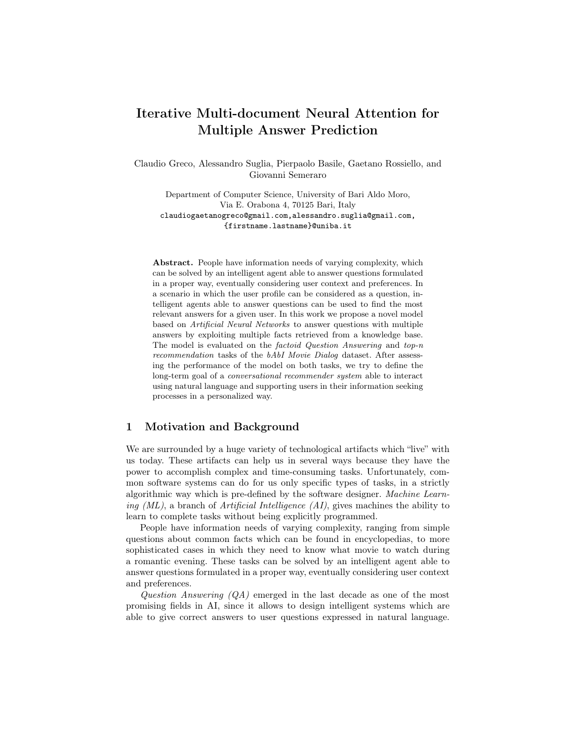# <span id="page-0-0"></span>Iterative Multi-document Neural Attention for Multiple Answer Prediction

Claudio Greco, Alessandro Suglia, Pierpaolo Basile, Gaetano Rossiello, and Giovanni Semeraro

Department of Computer Science, University of Bari Aldo Moro, Via E. Orabona 4, 70125 Bari, Italy claudiogaetanogreco@gmail.com,alessandro.suglia@gmail.com, {firstname.lastname}@uniba.it

Abstract. People have information needs of varying complexity, which can be solved by an intelligent agent able to answer questions formulated in a proper way, eventually considering user context and preferences. In a scenario in which the user profile can be considered as a question, intelligent agents able to answer questions can be used to find the most relevant answers for a given user. In this work we propose a novel model based on Artificial Neural Networks to answer questions with multiple answers by exploiting multiple facts retrieved from a knowledge base. The model is evaluated on the factoid Question Answering and top-n recommendation tasks of the bAbI Movie Dialog dataset. After assessing the performance of the model on both tasks, we try to define the long-term goal of a conversational recommender system able to interact using natural language and supporting users in their information seeking processes in a personalized way.

# 1 Motivation and Background

We are surrounded by a huge variety of technological artifacts which "live" with us today. These artifacts can help us in several ways because they have the power to accomplish complex and time-consuming tasks. Unfortunately, common software systems can do for us only specific types of tasks, in a strictly algorithmic way which is pre-defined by the software designer. Machine Learning  $(ML)$ , a branch of *Artificial Intelligence*  $(AI)$ , gives machines the ability to learn to complete tasks without being explicitly programmed.

People have information needs of varying complexity, ranging from simple questions about common facts which can be found in encyclopedias, to more sophisticated cases in which they need to know what movie to watch during a romantic evening. These tasks can be solved by an intelligent agent able to answer questions formulated in a proper way, eventually considering user context and preferences.

Question Answering  $(QA)$  emerged in the last decade as one of the most promising fields in AI, since it allows to design intelligent systems which are able to give correct answers to user questions expressed in natural language.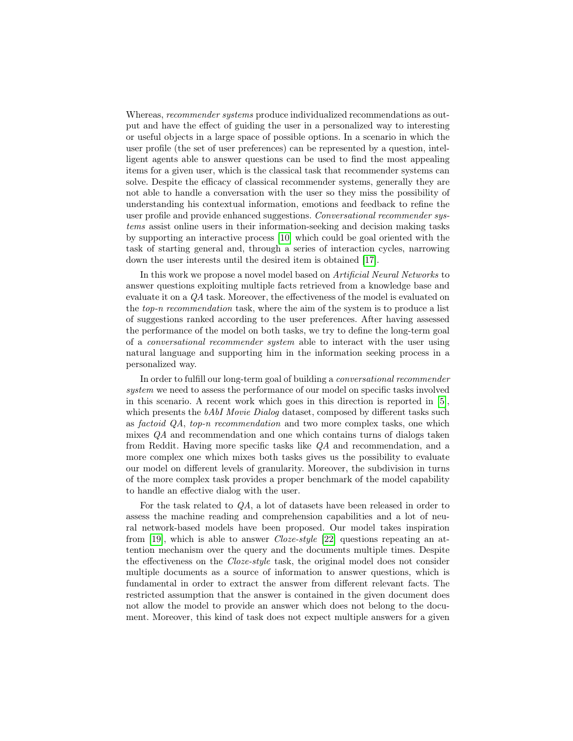Whereas, *recommender systems* produce individualized recommendations as output and have the effect of guiding the user in a personalized way to interesting or useful objects in a large space of possible options. In a scenario in which the user profile (the set of user preferences) can be represented by a question, intelligent agents able to answer questions can be used to find the most appealing items for a given user, which is the classical task that recommender systems can solve. Despite the efficacy of classical recommender systems, generally they are not able to handle a conversation with the user so they miss the possibility of understanding his contextual information, emotions and feedback to refine the user profile and provide enhanced suggestions. Conversational recommender systems assist online users in their information-seeking and decision making tasks by supporting an interactive process [\[10\]](#page-10-0) which could be goal oriented with the task of starting general and, through a series of interaction cycles, narrowing down the user interests until the desired item is obtained [\[17\]](#page-10-1).

In this work we propose a novel model based on Artificial Neural Networks to answer questions exploiting multiple facts retrieved from a knowledge base and evaluate it on a QA task. Moreover, the effectiveness of the model is evaluated on the top-n recommendation task, where the aim of the system is to produce a list of suggestions ranked according to the user preferences. After having assessed the performance of the model on both tasks, we try to define the long-term goal of a conversational recommender system able to interact with the user using natural language and supporting him in the information seeking process in a personalized way.

In order to fulfill our long-term goal of building a conversational recommender system we need to assess the performance of our model on specific tasks involved in this scenario. A recent work which goes in this direction is reported in [\[5\]](#page-9-0), which presents the bAbI Movie Dialog dataset, composed by different tasks such as factoid QA, top-n recommendation and two more complex tasks, one which mixes QA and recommendation and one which contains turns of dialogs taken from Reddit. Having more specific tasks like QA and recommendation, and a more complex one which mixes both tasks gives us the possibility to evaluate our model on different levels of granularity. Moreover, the subdivision in turns of the more complex task provides a proper benchmark of the model capability to handle an effective dialog with the user.

For the task related to QA, a lot of datasets have been released in order to assess the machine reading and comprehension capabilities and a lot of neural network-based models have been proposed. Our model takes inspiration from [\[19\]](#page-10-2), which is able to answer Cloze-style [\[22\]](#page-10-3) questions repeating an attention mechanism over the query and the documents multiple times. Despite the effectiveness on the Cloze-style task, the original model does not consider multiple documents as a source of information to answer questions, which is fundamental in order to extract the answer from different relevant facts. The restricted assumption that the answer is contained in the given document does not allow the model to provide an answer which does not belong to the document. Moreover, this kind of task does not expect multiple answers for a given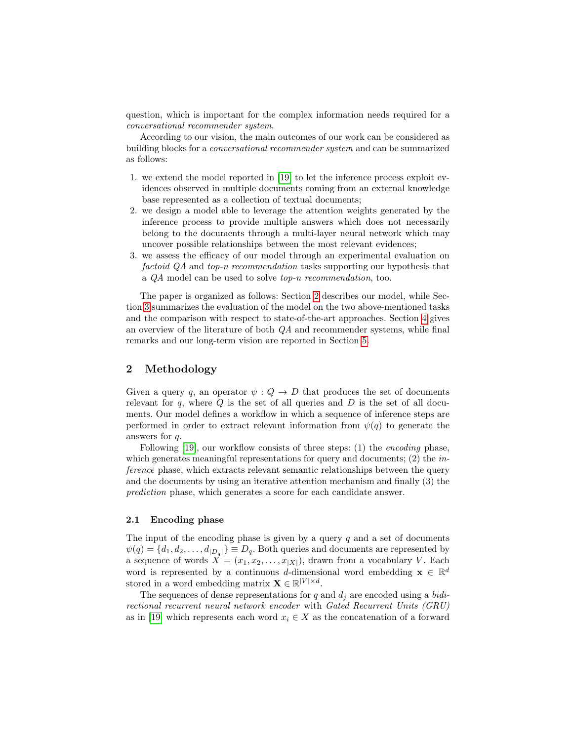question, which is important for the complex information needs required for a conversational recommender system.

According to our vision, the main outcomes of our work can be considered as building blocks for a conversational recommender system and can be summarized as follows:

- 1. we extend the model reported in [\[19\]](#page-10-2) to let the inference process exploit evidences observed in multiple documents coming from an external knowledge base represented as a collection of textual documents;
- 2. we design a model able to leverage the attention weights generated by the inference process to provide multiple answers which does not necessarily belong to the documents through a multi-layer neural network which may uncover possible relationships between the most relevant evidences;
- 3. we assess the efficacy of our model through an experimental evaluation on factoid QA and top-n recommendation tasks supporting our hypothesis that a QA model can be used to solve top-n recommendation, too.

The paper is organized as follows: Section [2](#page-2-0) describes our model, while Section [3](#page-5-0) summarizes the evaluation of the model on the two above-mentioned tasks and the comparison with respect to state-of-the-art approaches. Section [4](#page-7-0) gives an overview of the literature of both QA and recommender systems, while final remarks and our long-term vision are reported in Section [5.](#page-8-0)

# <span id="page-2-0"></span>2 Methodology

Given a query q, an operator  $\psi: Q \to D$  that produces the set of documents relevant for  $q$ , where  $Q$  is the set of all queries and  $D$  is the set of all documents. Our model defines a workflow in which a sequence of inference steps are performed in order to extract relevant information from  $\psi(q)$  to generate the answers for q.

Following [\[19\]](#page-10-2), our workflow consists of three steps: (1) the encoding phase, which generates meaningful representations for query and documents; (2) the *in*ference phase, which extracts relevant semantic relationships between the query and the documents by using an iterative attention mechanism and finally (3) the prediction phase, which generates a score for each candidate answer.

#### 2.1 Encoding phase

The input of the encoding phase is given by a query  $q$  and a set of documents  $\psi(q) = \{d_1, d_2, \dots, d_{|D_q|}\} \equiv D_q$ . Both queries and documents are represented by a sequence of words  $X = (x_1, x_2, \ldots, x_{|X|})$ , drawn from a vocabulary V. Each word is represented by a continuous d-dimensional word embedding  $\mathbf{x} \in \mathbb{R}^d$ stored in a word embedding matrix  $\mathbf{X} \in \mathbb{R}^{|V| \times d}$ .

The sequences of dense representations for q and  $d_i$  are encoded using a bidirectional recurrent neural network encoder with Gated Recurrent Units (GRU) as in [\[19\]](#page-10-2) which represents each word  $x_i \in X$  as the concatenation of a forward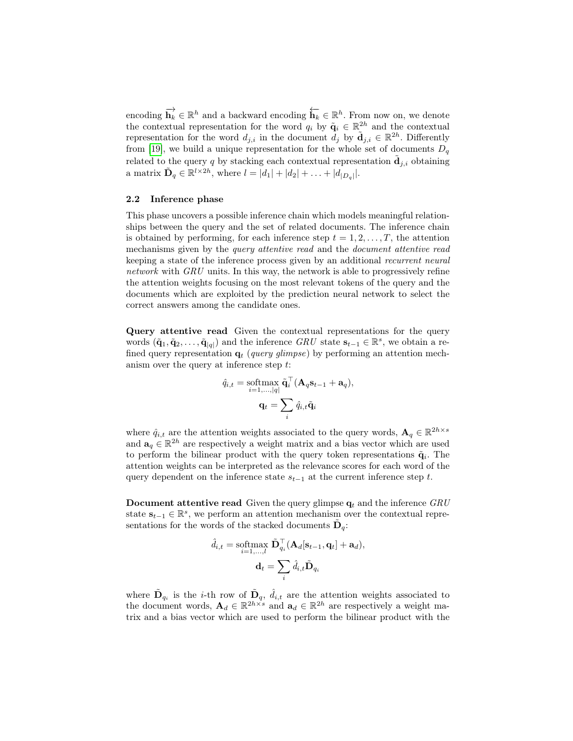encoding  $\overrightarrow{\mathbf{h}_k} \in \mathbb{R}^h$  and a backward encoding  $\overleftarrow{\mathbf{h}_k} \in \mathbb{R}^h$ . From now on, we denote the contextual representation for the word  $q_i$  by  $\tilde{\mathbf{q}}_i \in \mathbb{R}^{2h}$  and the contextual representation for the word  $d_{j,i}$  in the document  $\tilde{d}_j$  by  $\tilde{d}_{j,i} \in \mathbb{R}^{2h}$ . Differently from [\[19\]](#page-10-2), we build a unique representation for the whole set of documents  $D_q$ related to the query q by stacking each contextual representation  $\tilde{\mathbf{d}}_{j,i}$  obtaining a matrix  $\tilde{\mathbf{D}}_q \in \mathbb{R}^{l \times 2h}$ , where  $l = |d_1| + |d_2| + \ldots + |d_{|D_q|}|$ .

#### 2.2 Inference phase

This phase uncovers a possible inference chain which models meaningful relationships between the query and the set of related documents. The inference chain is obtained by performing, for each inference step  $t = 1, 2, \ldots, T$ , the attention mechanisms given by the *query attentive read* and the *document attentive read* keeping a state of the inference process given by an additional recurrent neural network with  $GRU$  units. In this way, the network is able to progressively refine the attention weights focusing on the most relevant tokens of the query and the documents which are exploited by the prediction neural network to select the correct answers among the candidate ones.

Query attentive read Given the contextual representations for the query words  $(\tilde{\mathbf{q}}_1, \tilde{\mathbf{q}}_2, \dots, \tilde{\mathbf{q}}_{|q|})$  and the inference  $GRU$  state  $\mathbf{s}_{t-1} \in \mathbb{R}^s$ , we obtain a refined query representation  $q_t$  (query glimpse) by performing an attention mechanism over the query at inference step t:

$$
\hat{q}_{i,t} = \operatorname*{softmax}_{i=1,\ldots,|q|} \tilde{\mathbf{q}}_i^{\top} (\mathbf{A}_q \mathbf{s}_{t-1} + \mathbf{a}_q),
$$

$$
\mathbf{q}_t = \sum_i \hat{q}_{i,t} \tilde{\mathbf{q}}_i
$$

where  $\hat{q}_{i,t}$  are the attention weights associated to the query words,  $\mathbf{A}_q \in \mathbb{R}^{2h \times s}$ and  $\mathbf{a}_q \in \mathbb{R}^{2h}$  are respectively a weight matrix and a bias vector which are used to perform the bilinear product with the query token representations  $\tilde{\mathbf{q}}_i$ . The attention weights can be interpreted as the relevance scores for each word of the query dependent on the inference state  $s_{t-1}$  at the current inference step t.

**Document attentive read** Given the query glimpse  $q_t$  and the inference  $GRU$ state  $s_{t-1} \in \mathbb{R}^s$ , we perform an attention mechanism over the contextual representations for the words of the stacked documents  $\tilde{\mathbf{D}}_q$ :

$$
\hat{d}_{i,t} = \operatorname*{softmax}_{i=1,\dots,l} \tilde{\mathbf{D}}_{q_i}^{\top} (\mathbf{A}_d[\mathbf{s}_{t-1}, \mathbf{q}_t] + \mathbf{a}_d),
$$

$$
\mathbf{d}_t = \sum_i \hat{d}_{i,t} \tilde{\mathbf{D}}_{q_i}
$$

where  $\tilde{\mathbf{D}}_{q_i}$  is the *i*-th row of  $\tilde{\mathbf{D}}_q$ ,  $\hat{d}_{i,t}$  are the attention weights associated to the document words,  $\mathbf{A}_d \in \mathbb{R}^{2h \times s}$  and  $\mathbf{a}_d \in \mathbb{R}^{2h}$  are respectively a weight matrix and a bias vector which are used to perform the bilinear product with the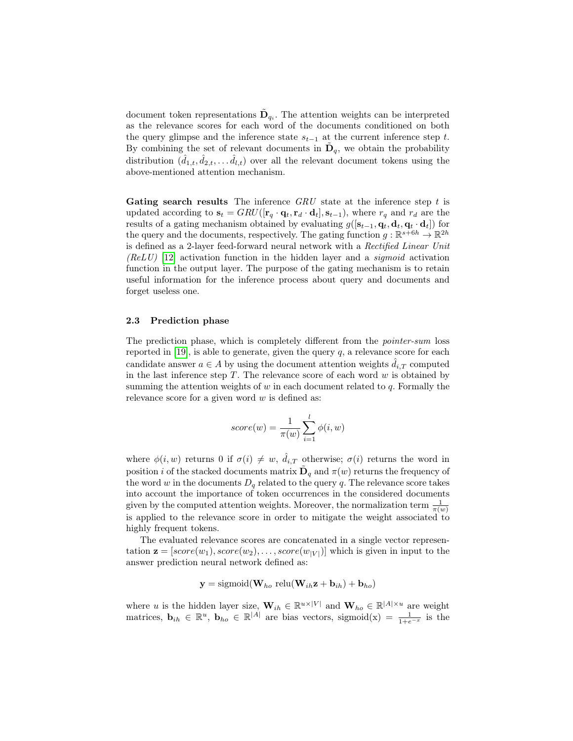document token representations  $\tilde{\mathbf{D}}_{q_i}$ . The attention weights can be interpreted as the relevance scores for each word of the documents conditioned on both the query glimpse and the inference state  $s_{t-1}$  at the current inference step t. By combining the set of relevant documents in  $\tilde{\mathbf{D}}_q$ , we obtain the probability distribution  $(\hat{d}_{1,t}, \hat{d}_{2,t}, \dots \hat{d}_{l,t})$  over all the relevant document tokens using the above-mentioned attention mechanism.

Gating search results The inference  $GRU$  state at the inference step t is updated according to  $\mathbf{s}_t = GRU([\mathbf{r}_q \cdot \mathbf{q}_t, \mathbf{r}_d \cdot \mathbf{d}_t], \mathbf{s}_{t-1}),$  where  $r_q$  and  $r_d$  are the results of a gating mechanism obtained by evaluating  $g([s_{t-1}, q_t, d_t, q_t \cdot d_t])$  for the query and the documents, respectively. The gating function  $g: \mathbb{R}^{s+6h} \to \mathbb{R}^{2h}$ is defined as a 2-layer feed-forward neural network with a Rectified Linear Unit  $(ReLU)$  [\[12\]](#page-10-4) activation function in the hidden layer and a *sigmoid* activation function in the output layer. The purpose of the gating mechanism is to retain useful information for the inference process about query and documents and forget useless one.

#### 2.3 Prediction phase

The prediction phase, which is completely different from the pointer-sum loss reported in [\[19\]](#page-10-2), is able to generate, given the query  $q$ , a relevance score for each candidate answer  $a \in A$  by using the document attention weights  $\hat{d}_{i,T}$  computed in the last inference step  $T$ . The relevance score of each word  $w$  is obtained by summing the attention weights of  $w$  in each document related to  $q$ . Formally the relevance score for a given word  $w$  is defined as:

$$
score(w) = \frac{1}{\pi(w)} \sum_{i=1}^{l} \phi(i, w)
$$

where  $\phi(i, w)$  returns 0 if  $\sigma(i) \neq w$ ,  $\hat{d}_{i,T}$  otherwise;  $\sigma(i)$  returns the word in position *i* of the stacked documents matrix  $\tilde{\mathbf{D}}_q$  and  $\pi(w)$  returns the frequency of the word w in the documents  $D_q$  related to the query q. The relevance score takes into account the importance of token occurrences in the considered documents given by the computed attention weights. Moreover, the normalization term  $\frac{1}{\pi(w)}$ is applied to the relevance score in order to mitigate the weight associated to highly frequent tokens.

The evaluated relevance scores are concatenated in a single vector representation  $\mathbf{z} = [score(w_1), score(w_2), \dots, score(w_{|V|})]$  which is given in input to the answer prediction neural network defined as:

$$
\mathbf{y} = \text{sigmoid}(\mathbf{W}_{ho} \text{ relu}(\mathbf{W}_{ih}\mathbf{z} + \mathbf{b}_{ih}) + \mathbf{b}_{ho})
$$

where u is the hidden layer size,  $\mathbf{W}_{ih} \in \mathbb{R}^{u \times |V|}$  and  $\mathbf{W}_{ho} \in \mathbb{R}^{|A| \times u}$  are weight matrices,  $\mathbf{b}_{ih} \in \mathbb{R}^u$ ,  $\mathbf{b}_{ho} \in \mathbb{R}^{|A|}$  are bias vectors, sigmoid(x) =  $\frac{1}{1+e^{-x}}$  is the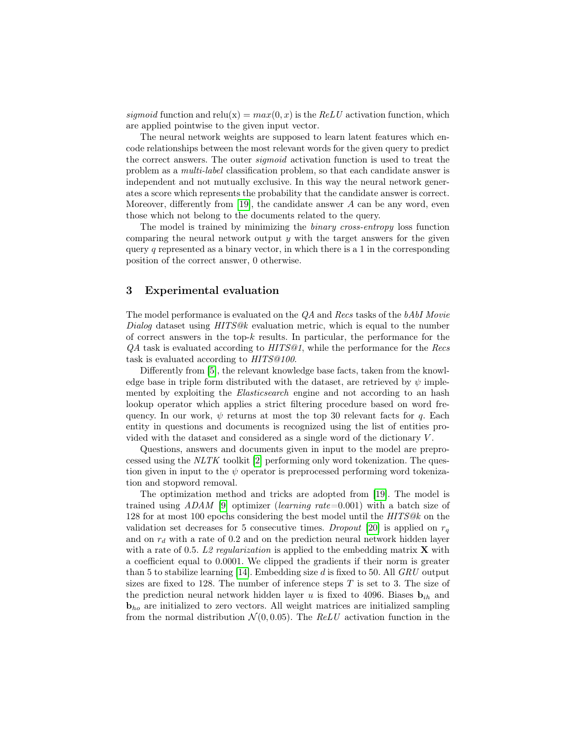sigmoid function and relu(x) =  $max(0, x)$  is the ReLU activation function, which are applied pointwise to the given input vector.

The neural network weights are supposed to learn latent features which encode relationships between the most relevant words for the given query to predict the correct answers. The outer sigmoid activation function is used to treat the problem as a multi-label classification problem, so that each candidate answer is independent and not mutually exclusive. In this way the neural network generates a score which represents the probability that the candidate answer is correct. Moreover, differently from [\[19\]](#page-10-2), the candidate answer  $A$  can be any word, even those which not belong to the documents related to the query.

The model is trained by minimizing the binary cross-entropy loss function comparing the neural network output  $y$  with the target answers for the given query q represented as a binary vector, in which there is a 1 in the corresponding position of the correct answer, 0 otherwise.

### <span id="page-5-0"></span>3 Experimental evaluation

The model performance is evaluated on the  $QA$  and Recs tasks of the  $bAbI$  Movie Dialog dataset using  $HITS@k$  evaluation metric, which is equal to the number of correct answers in the top-k results. In particular, the performance for the QA task is evaluated according to HITS@1, while the performance for the Recs task is evaluated according to HITS@100.

Differently from [\[5\]](#page-9-0), the relevant knowledge base facts, taken from the knowledge base in triple form distributed with the dataset, are retrieved by  $\psi$  implemented by exploiting the *Elasticsearch* engine and not according to an hash lookup operator which applies a strict filtering procedure based on word frequency. In our work,  $\psi$  returns at most the top 30 relevant facts for q. Each entity in questions and documents is recognized using the list of entities provided with the dataset and considered as a single word of the dictionary  $V$ .

Questions, answers and documents given in input to the model are preprocessed using the NLTK toolkit [\[2\]](#page-9-1) performing only word tokenization. The question given in input to the  $\psi$  operator is preprocessed performing word tokenization and stopword removal.

The optimization method and tricks are adopted from [\[19\]](#page-10-2). The model is trained using  $ADAM$  [\[9\]](#page-10-5) optimizer (learning rate=0.001) with a batch size of 128 for at most 100 epochs considering the best model until the HITS@k on the validation set decreases for 5 consecutive times. Dropout [\[20\]](#page-10-6) is applied on  $r<sub>q</sub>$ and on  $r_d$  with a rate of 0.2 and on the prediction neural network hidden layer with a rate of 0.5. L2 regularization is applied to the embedding matrix  $\bf{X}$  with a coefficient equal to 0.0001. We clipped the gradients if their norm is greater than 5 to stabilize learning [\[14\]](#page-10-7). Embedding size d is fixed to 50. All  $GRU$  output sizes are fixed to 128. The number of inference steps  $T$  is set to 3. The size of the prediction neural network hidden layer u is fixed to 4096. Biases  $\mathbf{b}_{ih}$  and **<sub>ho</sub> are initialized to zero vectors. All weight matrices are initialized sampling** from the normal distribution  $\mathcal{N}(0, 0.05)$ . The ReLU activation function in the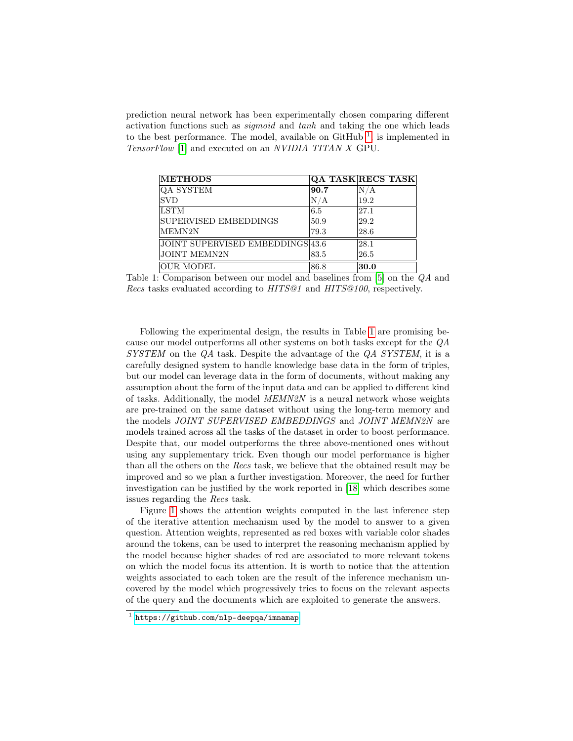prediction neural network has been experimentally chosen comparing different activation functions such as sigmoid and tanh and taking the one which leads to the best performance. The model, available on  $G$ itHub<sup>[1](#page-0-0)</sup>, is implemented in TensorFlow [\[1\]](#page-9-2) and executed on an NVIDIA TITAN X GPU.

<span id="page-6-0"></span>

| <b>METHODS</b>                   |      | QA TASK RECS TASK |
|----------------------------------|------|-------------------|
| <b>OA SYSTEM</b>                 | 90.7 | N/A               |
| <b>SVD</b>                       | N/A  | 19.2              |
| <b>LSTM</b>                      | 6.5  | 27.1              |
| SUPERVISED EMBEDDINGS            | 50.9 | 29.2              |
| MEMN2N                           | 79.3 | 28.6              |
| JOINT SUPERVISED EMBEDDINGS 43.6 |      | 28.1              |
| <b>JOINT MEMN2N</b>              | 83.5 | 26.5              |
| <b>OUR MODEL</b>                 | 86.8 | 30.0              |

Table 1: Comparison between our model and baselines from [\[5\]](#page-9-0) on the QA and Recs tasks evaluated according to HITS@1 and HITS@100, respectively.

Following the experimental design, the results in Table [1](#page-6-0) are promising because our model outperforms all other systems on both tasks except for the QA SYSTEM on the QA task. Despite the advantage of the QA SYSTEM, it is a carefully designed system to handle knowledge base data in the form of triples, but our model can leverage data in the form of documents, without making any assumption about the form of the input data and can be applied to different kind of tasks. Additionally, the model MEMN2N is a neural network whose weights are pre-trained on the same dataset without using the long-term memory and the models JOINT SUPERVISED EMBEDDINGS and JOINT MEMN2N are models trained across all the tasks of the dataset in order to boost performance. Despite that, our model outperforms the three above-mentioned ones without using any supplementary trick. Even though our model performance is higher than all the others on the Recs task, we believe that the obtained result may be improved and so we plan a further investigation. Moreover, the need for further investigation can be justified by the work reported in [\[18\]](#page-10-8) which describes some issues regarding the Recs task.

Figure [1](#page-7-1) shows the attention weights computed in the last inference step of the iterative attention mechanism used by the model to answer to a given question. Attention weights, represented as red boxes with variable color shades around the tokens, can be used to interpret the reasoning mechanism applied by the model because higher shades of red are associated to more relevant tokens on which the model focus its attention. It is worth to notice that the attention weights associated to each token are the result of the inference mechanism uncovered by the model which progressively tries to focus on the relevant aspects of the query and the documents which are exploited to generate the answers.

<sup>1</sup> <https://github.com/nlp-deepqa/imnamap>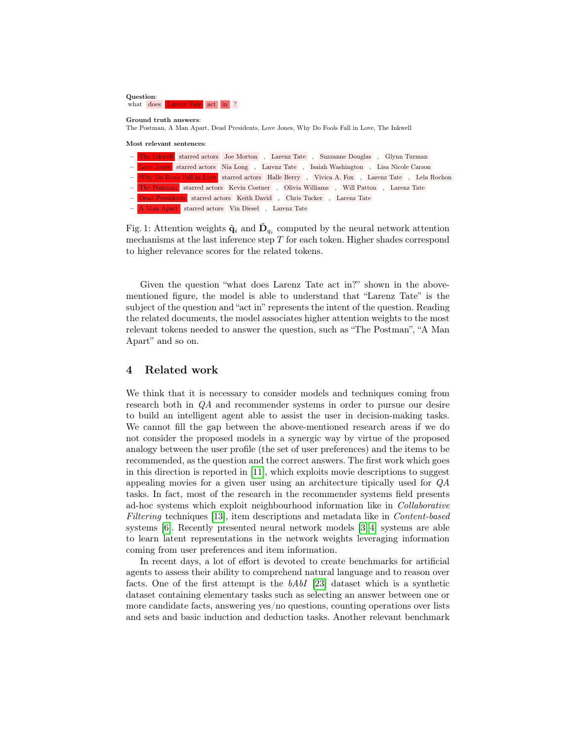<span id="page-7-1"></span>

Ground truth answers: The Postman, A Man Apart, Dead Presidents, Love Jones, Why Do Fools Fall in Love, The Inkwell

Most relevant sentences:

| - The Inkwell starred actors Joe Morton, Larenz Tate, Suzzanne Douglas, Glynn Turman  |  |                                                                                                 |
|---------------------------------------------------------------------------------------|--|-------------------------------------------------------------------------------------------------|
|                                                                                       |  | - Love Jones starred actors Nia Long, Larenz Tate, Isaiah Washington, Lisa Nicole Carson        |
|                                                                                       |  | - Why Do Fools Fall in Love starred actors Halle Berry, Vivica A. Fox, Larenz Tate, Lela Rochon |
| - The Postman starred actors Kevin Costner, Olivia Williams, Will Patton, Larenz Tate |  |                                                                                                 |
| - Dead Presidents starred actors Keith David, Chris Tucker, Larenz Tate               |  |                                                                                                 |
| - A Man Apart starred actors Vin Diesel, Larenz Tate                                  |  |                                                                                                 |

Fig. 1: Attention weights  $\tilde{\mathbf{q}}_i$  and  $\tilde{\mathbf{D}}_{q_i}$  computed by the neural network attention mechanisms at the last inference step  $T$  for each token. Higher shades correspond to higher relevance scores for the related tokens.

Given the question "what does Larenz Tate act in?" shown in the abovementioned figure, the model is able to understand that "Larenz Tate" is the subject of the question and "act in" represents the intent of the question. Reading the related documents, the model associates higher attention weights to the most relevant tokens needed to answer the question, such as "The Postman", "A Man Apart" and so on.

# <span id="page-7-0"></span>4 Related work

We think that it is necessary to consider models and techniques coming from research both in QA and recommender systems in order to pursue our desire to build an intelligent agent able to assist the user in decision-making tasks. We cannot fill the gap between the above-mentioned research areas if we do not consider the proposed models in a synergic way by virtue of the proposed analogy between the user profile (the set of user preferences) and the items to be recommended, as the question and the correct answers. The first work which goes in this direction is reported in [\[11\]](#page-10-9), which exploits movie descriptions to suggest appealing movies for a given user using an architecture tipically used for QA tasks. In fact, most of the research in the recommender systems field presents ad-hoc systems which exploit neighbourhood information like in Collaborative Filtering techniques [\[13\]](#page-10-10), item descriptions and metadata like in Content-based systems [\[6\]](#page-10-11). Recently presented neural network models [\[3,](#page-9-3) [4\]](#page-9-4) systems are able to learn latent representations in the network weights leveraging information coming from user preferences and item information.

In recent days, a lot of effort is devoted to create benchmarks for artificial agents to assess their ability to comprehend natural language and to reason over facts. One of the first attempt is the bAbI [\[23\]](#page-10-12) dataset which is a synthetic dataset containing elementary tasks such as selecting an answer between one or more candidate facts, answering yes/no questions, counting operations over lists and sets and basic induction and deduction tasks. Another relevant benchmark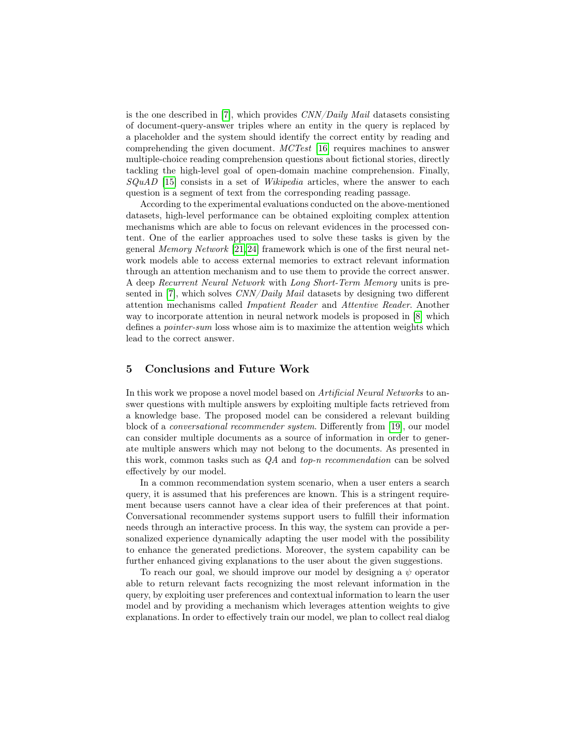is the one described in [\[7\]](#page-10-13), which provides  $CNN/Daily$  Mail datasets consisting of document-query-answer triples where an entity in the query is replaced by a placeholder and the system should identify the correct entity by reading and comprehending the given document. MCTest [\[16\]](#page-10-14) requires machines to answer multiple-choice reading comprehension questions about fictional stories, directly tackling the high-level goal of open-domain machine comprehension. Finally,  $SQuAD$  [\[15\]](#page-10-15) consists in a set of *Wikipedia* articles, where the answer to each question is a segment of text from the corresponding reading passage.

According to the experimental evaluations conducted on the above-mentioned datasets, high-level performance can be obtained exploiting complex attention mechanisms which are able to focus on relevant evidences in the processed content. One of the earlier approaches used to solve these tasks is given by the general Memory Network [\[21,](#page-10-16)[24\]](#page-10-17) framework which is one of the first neural network models able to access external memories to extract relevant information through an attention mechanism and to use them to provide the correct answer. A deep Recurrent Neural Network with Long Short-Term Memory units is pre-sented in [\[7\]](#page-10-13), which solves CNN/Daily Mail datasets by designing two different attention mechanisms called Impatient Reader and Attentive Reader. Another way to incorporate attention in neural network models is proposed in [\[8\]](#page-10-18) which defines a pointer-sum loss whose aim is to maximize the attention weights which lead to the correct answer.

# <span id="page-8-0"></span>5 Conclusions and Future Work

In this work we propose a novel model based on Artificial Neural Networks to answer questions with multiple answers by exploiting multiple facts retrieved from a knowledge base. The proposed model can be considered a relevant building block of a conversational recommender system. Differently from [\[19\]](#page-10-2), our model can consider multiple documents as a source of information in order to generate multiple answers which may not belong to the documents. As presented in this work, common tasks such as QA and top-n recommendation can be solved effectively by our model.

In a common recommendation system scenario, when a user enters a search query, it is assumed that his preferences are known. This is a stringent requirement because users cannot have a clear idea of their preferences at that point. Conversational recommender systems support users to fulfill their information needs through an interactive process. In this way, the system can provide a personalized experience dynamically adapting the user model with the possibility to enhance the generated predictions. Moreover, the system capability can be further enhanced giving explanations to the user about the given suggestions.

To reach our goal, we should improve our model by designing a  $\psi$  operator able to return relevant facts recognizing the most relevant information in the query, by exploiting user preferences and contextual information to learn the user model and by providing a mechanism which leverages attention weights to give explanations. In order to effectively train our model, we plan to collect real dialog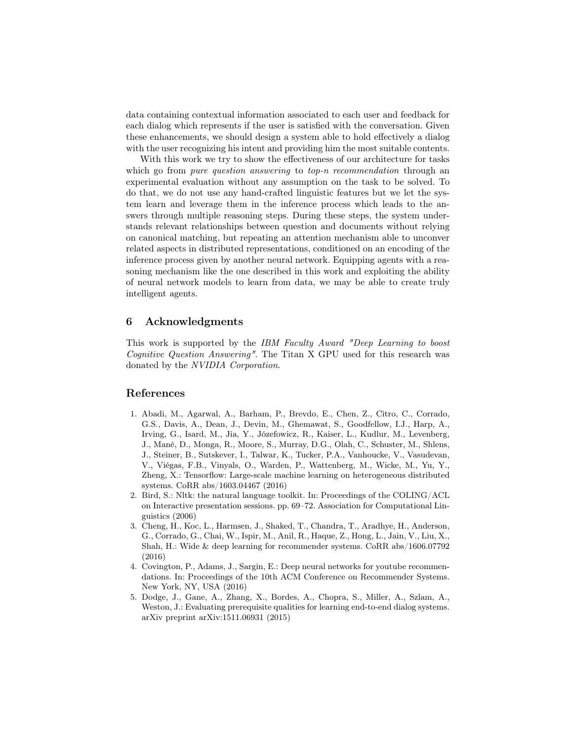data containing contextual information associated to each user and feedback for each dialog which represents if the user is satisfied with the conversation. Given these enhancements, we should design a system able to hold effectively a dialog with the user recognizing his intent and providing him the most suitable contents.

With this work we try to show the effectiveness of our architecture for tasks which go from *pure question answering* to *top-n recommendation* through an experimental evaluation without any assumption on the task to be solved. To do that, we do not use any hand-crafted linguistic features but we let the system learn and leverage them in the inference process which leads to the answers through multiple reasoning steps. During these steps, the system understands relevant relationships between question and documents without relying on canonical matching, but repeating an attention mechanism able to unconver related aspects in distributed representations, conditioned on an encoding of the inference process given by another neural network. Equipping agents with a reasoning mechanism like the one described in this work and exploiting the ability of neural network models to learn from data, we may be able to create truly intelligent agents.

# 6 Acknowledgments

This work is supported by the IBM Faculty Award "Deep Learning to boost Cognitive Question Answering". The Titan X GPU used for this research was donated by the NVIDIA Corporation.

# References

- <span id="page-9-2"></span>1. Abadi, M., Agarwal, A., Barham, P., Brevdo, E., Chen, Z., Citro, C., Corrado, G.S., Davis, A., Dean, J., Devin, M., Ghemawat, S., Goodfellow, I.J., Harp, A., Irving, G., Isard, M., Jia, Y., Józefowicz, R., Kaiser, L., Kudlur, M., Levenberg, J., Mané, D., Monga, R., Moore, S., Murray, D.G., Olah, C., Schuster, M., Shlens, J., Steiner, B., Sutskever, I., Talwar, K., Tucker, P.A., Vanhoucke, V., Vasudevan, V., Viégas, F.B., Vinyals, O., Warden, P., Wattenberg, M., Wicke, M., Yu, Y., Zheng, X.: Tensorflow: Large-scale machine learning on heterogeneous distributed systems. CoRR abs/1603.04467 (2016)
- <span id="page-9-1"></span>2. Bird, S.: Nltk: the natural language toolkit. In: Proceedings of the COLING/ACL on Interactive presentation sessions. pp. 69–72. Association for Computational Linguistics (2006)
- <span id="page-9-3"></span>3. Cheng, H., Koc, L., Harmsen, J., Shaked, T., Chandra, T., Aradhye, H., Anderson, G., Corrado, G., Chai, W., Ispir, M., Anil, R., Haque, Z., Hong, L., Jain, V., Liu, X., Shah, H.: Wide & deep learning for recommender systems. CoRR abs/1606.07792 (2016)
- <span id="page-9-4"></span>4. Covington, P., Adams, J., Sargin, E.: Deep neural networks for youtube recommendations. In: Proceedings of the 10th ACM Conference on Recommender Systems. New York, NY, USA (2016)
- <span id="page-9-0"></span>5. Dodge, J., Gane, A., Zhang, X., Bordes, A., Chopra, S., Miller, A., Szlam, A., Weston, J.: Evaluating prerequisite qualities for learning end-to-end dialog systems. arXiv preprint arXiv:1511.06931 (2015)